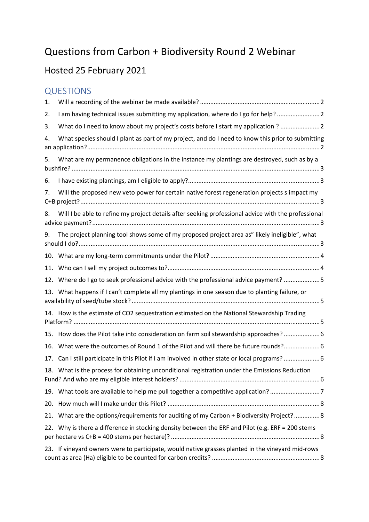# Questions from Carbon + Biodiversity Round 2 Webinar

# Hosted 25 February 2021

### QUESTIONS

| 1.  |                                                                                                     |
|-----|-----------------------------------------------------------------------------------------------------|
| 2.  | I am having technical issues submitting my application, where do I go for help?  2                  |
| 3.  | What do I need to know about my project's costs before I start my application ?                     |
| 4.  | What species should I plant as part of my project, and do I need to know this prior to submitting   |
| 5.  | What are my permanence obligations in the instance my plantings are destroyed, such as by a         |
| 6.  |                                                                                                     |
| 7.  | Will the proposed new veto power for certain native forest regeneration projects s impact my        |
| 8.  | Will I be able to refine my project details after seeking professional advice with the professional |
| 9.  | The project planning tool shows some of my proposed project area as" likely ineligible", what       |
|     |                                                                                                     |
| 11. |                                                                                                     |
|     | 12. Where do I go to seek professional advice with the professional advice payment? 5               |
|     | 13. What happens if I can't complete all my plantings in one season due to planting failure, or     |
|     | 14. How is the estimate of CO2 sequestration estimated on the National Stewardship Trading          |
|     | 15. How does the Pilot take into consideration on farm soil stewardship approaches?  6              |
| 16. | What were the outcomes of Round 1 of the Pilot and will there be future rounds? 6                   |
| 17. | Can I still participate in this Pilot if I am involved in other state or local programs?            |
|     | 18. What is the process for obtaining unconditional registration under the Emissions Reduction      |
|     | 19. What tools are available to help me pull together a competitive application? 7                  |
| 20. |                                                                                                     |
| 21. | What are the options/requirements for auditing of my Carbon + Biodiversity Project? 8               |
|     | 22. Why is there a difference in stocking density between the ERF and Pilot (e.g. ERF = 200 stems   |
|     | 23. If vineyard owners were to participate, would native grasses planted in the vineyard mid-rows   |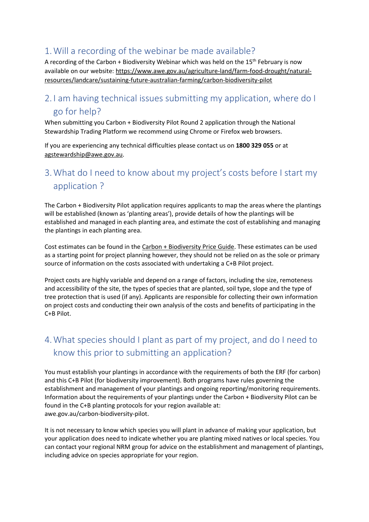#### <span id="page-1-0"></span>1.Will a recording of the webinar be made available?

A recording of the Carbon + Biodiversity Webinar which was held on the  $15<sup>th</sup>$  February is now available on our website[: https://www.awe.gov.au/agriculture-land/farm-food-drought/natural](https://www.awe.gov.au/agriculture-land/farm-food-drought/natural-resources/landcare/sustaining-future-australian-farming/carbon-biodiversity-pilot)[resources/landcare/sustaining-future-australian-farming/carbon-biodiversity-pilot](https://www.awe.gov.au/agriculture-land/farm-food-drought/natural-resources/landcare/sustaining-future-australian-farming/carbon-biodiversity-pilot) 

#### <span id="page-1-1"></span>2. I am having technical issues submitting my application, where do I go for help?

When submitting you Carbon + Biodiversity Pilot Round 2 application through the National Stewardship Trading Platform we recommend using Chrome or Firefox web browsers.

If you are experiencing any technical difficulties please contact us on **1800 329 055** or at [agstewardship@awe.gov.au.](mailto:agstewardship@awe.gov.au)

#### <span id="page-1-2"></span>3.What do I need to know about my project's costs before I start my application ?

The Carbon + Biodiversity Pilot application requires applicants to map the areas where the plantings will be established (known as 'planting areas'), provide details of how the plantings will be established and managed in each planting area, and estimate the cost of establishing and managing the plantings in each planting area.

Cost estimates can be found in the [Carbon + Biodiversity Price Guide.](https://www.awe.gov.au/sites/default/files/documents/ag-steward-program-round-2-price-guide.pdf) These estimates can be used as a starting point for project planning however, they should not be relied on as the sole or primary source of information on the costs associated with undertaking a C+B Pilot project.

Project costs are highly variable and depend on a range of factors, including the size, remoteness and accessibility of the site, the types of species that are planted, soil type, slope and the type of tree protection that is used (if any). Applicants are responsible for collecting their own information on project costs and conducting their own analysis of the costs and benefits of participating in the C+B Pilot.

# <span id="page-1-3"></span>4.What species should I plant as part of my project, and do I need to know this prior to submitting an application?

You must establish your plantings in accordance with the requirements of both the ERF (for carbon) and this C+B Pilot (for biodiversity improvement). Both programs have rules governing the establishment and management of your plantings and ongoing reporting/monitoring requirements. Information about the requirements of your plantings under the Carbon + Biodiversity Pilot can be found in the C+B planting protocols for your region available at: awe.gov.au/carbon-biodiversity-pilot.

It is not necessary to know which species you will plant in advance of making your application, but your application does need to indicate whether you are planting mixed natives or local species. You can contact your regional NRM group for advice on the establishment and management of plantings, including advice on species appropriate for your region.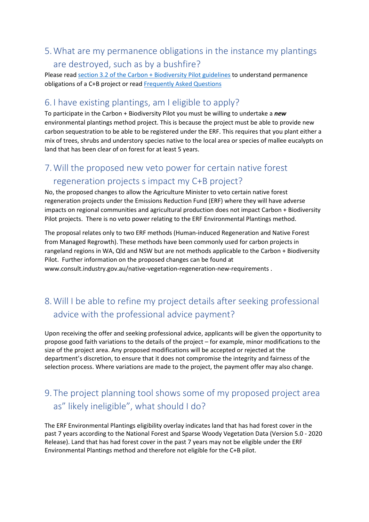#### <span id="page-2-0"></span>5.What are my permanence obligations in the instance my plantings are destroyed, such as by a bushfire?

Please read [section 3.2 of the Carbon + Biodiversity Pilot guidelines](https://www.awe.gov.au/sites/default/files/documents/ag-steward-program-round-2-guidelines.pdf) to understand permanence obligations of a C+B project or read [Frequently Asked Questions](https://www.awe.gov.au/sites/default/files/documents/ag-steward-program-round-2-faq.pdf) 

#### <span id="page-2-1"></span>6. I have existing plantings, am I eligible to apply?

To participate in the Carbon + Biodiversity Pilot you must be willing to undertake a *new* environmental plantings method project. This is because the project must be able to provide new carbon sequestration to be able to be registered under the ERF. This requires that you plant either a mix of trees, shrubs and understory species native to the local area or species of mallee eucalypts on land that has been clear of on forest for at least 5 years.

### <span id="page-2-2"></span>7.Will the proposed new veto power for certain native forest regeneration projects s impact my C+B project?

No, the proposed changes to allow the Agriculture Minister to veto certain native forest regeneration projects under the Emissions Reduction Fund (ERF) where they will have adverse impacts on regional communities and agricultural production does not impact Carbon + Biodiversity Pilot projects. There is no veto power relating to the ERF Environmental Plantings method.

The proposal relates only to two ERF methods (Human-induced Regeneration and Native Forest from Managed Regrowth). These methods have been commonly used for carbon projects in rangeland regions in WA, Qld and NSW but are not methods applicable to the Carbon + Biodiversity Pilot. Further information on the proposed changes can be found at www.consult.industry.gov.au/native-vegetation-regeneration-new-requirements .

# <span id="page-2-3"></span>8.Will I be able to refine my project details after seeking professional advice with the professional advice payment?

Upon receiving the offer and seeking professional advice, applicants will be given the opportunity to propose good faith variations to the details of the project – for example, minor modifications to the size of the project area. Any proposed modifications will be accepted or rejected at the department's discretion, to ensure that it does not compromise the integrity and fairness of the selection process. Where variations are made to the project, the payment offer may also change.

### <span id="page-2-4"></span>9. The project planning tool shows some of my proposed project area as" likely ineligible", what should I do?

The ERF Environmental Plantings eligibility overlay indicates land that has had forest cover in the past 7 years according to the National Forest and Sparse Woody Vegetation Data (Version 5.0 - 2020 Release). Land that has had forest cover in the past 7 years may not be eligible under the ERF Environmental Plantings method and therefore not eligible for the C+B pilot.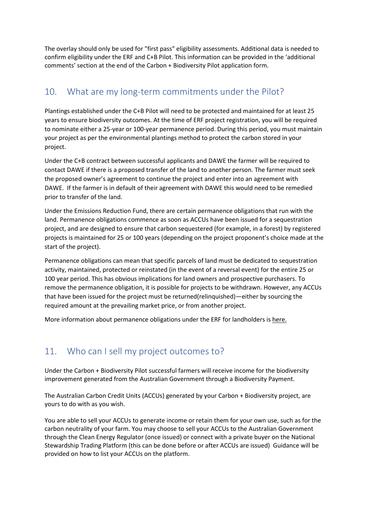The overlay should only be used for "first pass" eligibility assessments. Additional data is needed to confirm eligibility under the ERF and C+B Pilot. This information can be provided in the 'additional comments' section at the end of the Carbon + Biodiversity Pilot application form.

#### <span id="page-3-0"></span>10. What are my long-term commitments under the Pilot?

Plantings established under the C+B Pilot will need to be protected and maintained for at least 25 years to ensure biodiversity outcomes. At the time of ERF project registration, you will be required to nominate either a 25-year or 100-year permanence period. During this period, you must maintain your project as per the environmental plantings method to protect the carbon stored in your project.

Under the C+B contract between successful applicants and DAWE the farmer will be required to contact DAWE if there is a proposed transfer of the land to another person. The farmer must seek the proposed owner's agreement to continue the project and enter into an agreement with DAWE. If the farmer is in default of their agreement with DAWE this would need to be remedied prior to transfer of the land.

Under the Emissions Reduction Fund, there are certain permanence obligations that run with the land. Permanence obligations commence as soon as ACCUs have been issued for a sequestration project, and are designed to ensure that carbon sequestered (for example, in a forest) by registered projects is maintained for 25 or 100 years (depending on the project proponent's choice made at the start of the project).

Permanence obligations can mean that specific parcels of land must be dedicated to sequestration activity, maintained, protected or reinstated (in the event of a reversal event) for the entire 25 or 100 year period. This has obvious implications for land owners and prospective purchasers. To remove the permanence obligation, it is possible for projects to be withdrawn. However, any ACCUs that have been issued for the project must be returned(relinquished)—either by sourcing the required amount at the prevailing market price, or from another project.

More information about permanence obligations under the ERF for landholders is [here.](http://www.cleanenergyregulator.gov.au/DocumentAssets/Documents/The%20Emissions%20Reduction%20Fund%20and%20permanence%20on%20the%20land.pdf)

#### <span id="page-3-1"></span>11. Who can I sell my project outcomes to?

Under the Carbon + Biodiversity Pilot successful farmers will receive income for the biodiversity improvement generated from the Australian Government through a Biodiversity Payment.

The Australian Carbon Credit Units (ACCUs) generated by your Carbon + Biodiversity project, are yours to do with as you wish.

You are able to sell your ACCUs to generate income or retain them for your own use, such as for the carbon neutrality of your farm. You may choose to sell your ACCUs to the Australian Government through the Clean Energy Regulator (once issued) or connect with a private buyer on the National Stewardship Trading Platform (this can be done before or after ACCUs are issued) Guidance will be provided on how to list your ACCUs on the platform.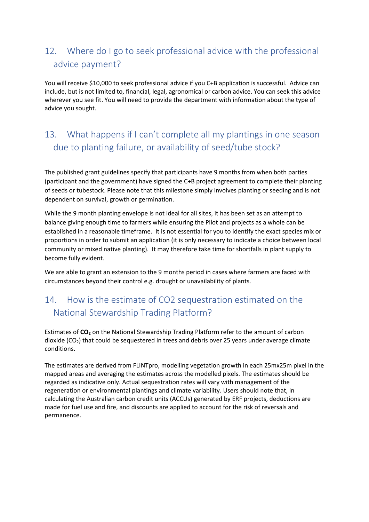# <span id="page-4-0"></span>12. Where do I go to seek professional advice with the professional advice payment?

You will receive \$10,000 to seek professional advice if you C+B application is successful. Advice can include, but is not limited to, financial, legal, agronomical or carbon advice. You can seek this advice wherever you see fit. You will need to provide the department with information about the type of advice you sought.

### <span id="page-4-1"></span>13. What happens if I can't complete all my plantings in one season due to planting failure, or availability of seed/tube stock?

The published grant guidelines specify that participants have 9 months from when both parties (participant and the government) have signed the C+B project agreement to complete their planting of seeds or tubestock. Please note that this milestone simply involves planting or seeding and is not dependent on survival, growth or germination.

While the 9 month planting envelope is not ideal for all sites, it has been set as an attempt to balance giving enough time to farmers while ensuring the Pilot and projects as a whole can be established in a reasonable timeframe. It is not essential for you to identify the exact species mix or proportions in order to submit an application (it is only necessary to indicate a choice between local community or mixed native planting). It may therefore take time for shortfalls in plant supply to become fully evident.

We are able to grant an extension to the 9 months period in cases where farmers are faced with circumstances beyond their control e.g. drought or unavailability of plants.

### <span id="page-4-2"></span>14. How is the estimate of CO2 sequestration estimated on the National Stewardship Trading Platform?

Estimates of **CO2** on the National Stewardship Trading Platform refer to the amount of carbon dioxide  $(CO_2)$  that could be sequestered in trees and debris over 25 years under average climate conditions.

The estimates are derived from FLINTpro, modelling vegetation growth in each 25mx25m pixel in the mapped areas and averaging the estimates across the modelled pixels. The estimates should be regarded as indicative only. Actual sequestration rates will vary with management of the regeneration or environmental plantings and climate variability. Users should note that, in calculating the Australian carbon credit units (ACCUs) generated by ERF projects, deductions are made for fuel use and fire, and discounts are applied to account for the risk of reversals and permanence.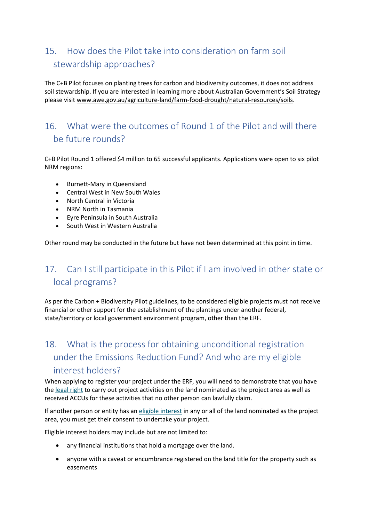# <span id="page-5-0"></span>15. How does the Pilot take into consideration on farm soil stewardship approaches?

The C+B Pilot focuses on planting trees for carbon and biodiversity outcomes, it does not address soil stewardship. If you are interested in learning more about Australian Government's Soil Strategy please visit [www.awe.gov.au/agriculture-land/farm-food-drought/natural-resources/soils.](http://www.awe.gov.au/agriculture-land/farm-food-drought/natural-resources/soils)

#### <span id="page-5-1"></span>16. What were the outcomes of Round 1 of the Pilot and will there be future rounds?

C+B Pilot Round 1 offered \$4 million to 65 successful applicants. Applications were open to six pilot NRM regions:

- Burnett-Mary in Queensland
- Central West in New South Wales
- North Central in Victoria
- NRM North in Tasmania
- Eyre Peninsula in South Australia
- South West in Western Australia

Other round may be conducted in the future but have not been determined at this point in time.

# <span id="page-5-2"></span>17. Can I still participate in this Pilot if I am involved in other state or local programs?

As per the Carbon + Biodiversity Pilot guidelines, to be considered eligible projects must not receive financial or other support for the establishment of the plantings under another federal, state/territory or local government environment program, other than the ERF.

# <span id="page-5-3"></span>18. What is the process for obtaining unconditional registration under the Emissions Reduction Fund? And who are my eligible interest holders?

When applying to register your project under the ERF, you will need to demonstrate that you have the [legal right](http://www.cleanenergyregulator.gov.au/ERF/Want-to-participate-in-the-Emissions-Reduction-Fund/Planning-a-project/Legal-right) to carry out project activities on the land nominated as the project area as well as received ACCUs for these activities that no other person can lawfully claim.

If another person or entity has an [eligible interest](http://www.cleanenergyregulator.gov.au/ERF/Choosing-a-project-type/Opportunities-for-the-land-sector/eligible-interest-holder-consent) in any or all of the land nominated as the project area, you must get their consent to undertake your project.

Eligible interest holders may include but are not limited to:

- any financial institutions that hold a mortgage over the land.
- anyone with a caveat or encumbrance registered on the land title for the property such as easements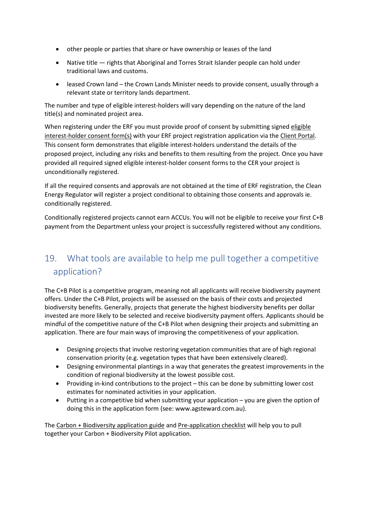- other people or parties that share or have ownership or leases of the land
- Native title rights that Aboriginal and Torres Strait Islander people can hold under traditional laws and customs.
- leased Crown land the Crown Lands Minister needs to provide consent, usually through a relevant state or territory lands department.

The number and type of eligible interest-holders will vary depending on the nature of the land title(s) and nominated project area.

When registering under the ERF you must provide proof of consent by submitting signe[d eligible](http://www.cleanenergyregulator.gov.au/DocumentAssets/Pages/Eligible-interest-holder-consent-form.aspx)  [interest-holder consent form\(s\)](http://www.cleanenergyregulator.gov.au/DocumentAssets/Pages/Eligible-interest-holder-consent-form.aspx) with your ERF project registration application via th[e Client Portal.](http://www.cleanenergyregulator.gov.au/OSR/CP) This consent form demonstrates that eligible interest-holders understand the details of the proposed project, including any risks and benefits to them resulting from the project. Once you have provided all required signed eligible interest-holder consent forms to the CER your project is unconditionally registered.

If all the required consents and approvals are not obtained at the time of ERF registration, the Clean Energy Regulator will register a project conditional to obtaining those consents and approvals ie. conditionally registered.

Conditionally registered projects cannot earn ACCUs. You will not be eligible to receive your first C+B payment from the Department unless your project is successfully registered without any conditions.

#### <span id="page-6-0"></span>19. What tools are available to help me pull together a competitive application?

The C+B Pilot is a competitive program, meaning not all applicants will receive biodiversity payment offers. Under the C+B Pilot, projects will be assessed on the basis of their costs and projected biodiversity benefits. Generally, projects that generate the highest biodiversity benefits per dollar invested are more likely to be selected and receive biodiversity payment offers. Applicants should be mindful of the competitive nature of the C+B Pilot when designing their projects and submitting an application. There are four main ways of improving the competitiveness of your application.

- Designing projects that involve restoring vegetation communities that are of high regional conservation priority (e.g. vegetation types that have been extensively cleared).
- Designing environmental plantings in a way that generates the greatest improvements in the condition of regional biodiversity at the lowest possible cost.
- Providing in-kind contributions to the project this can be done by submitting lower cost estimates for nominated activities in your application.
- Putting in a competitive bid when submitting your application you are given the option of doing this in the application form (see: [www.agsteward.com.au\)](http://www.agsteward.com.au/).

The [Carbon + Biodiversity application guide](https://www.awe.gov.au/sites/default/files/documents/cb-rd2-application-guide.pdf) an[d Pre-application checklist w](https://www.awe.gov.au/sites/default/files/documents/pre-application_checklist.pdf)ill help you to pull together your Carbon + Biodiversity Pilot application.